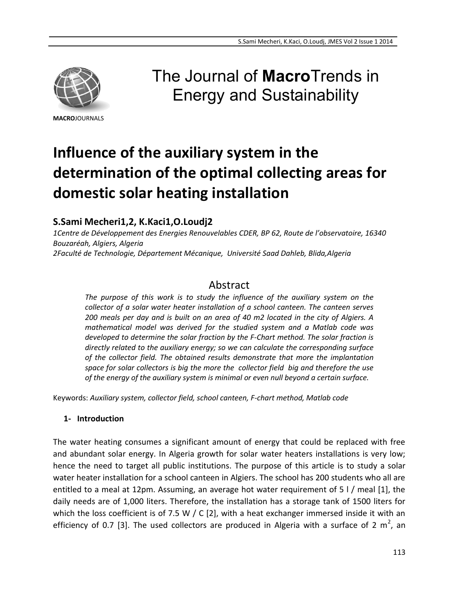

**MACRO**JOURNALS

# The Journal of **Macro**Trends in Energy and Sustainability

# **Influence of the auxiliary system in the determination of the optimal collecting areas for domestic solar heating installation**

# **S.Sami Mecheri1,2, K.Kaci1,O.Loudj2**

*1Centre de Développement des Energies Renouvelables CDER, BP 62, Route de l'observatoire, 16340 Bouzaréah, Algiers, Algeria 2Faculté de Technologie, Département Mécanique, Université Saad Dahleb, Blida,Algeria*

# Abstract

*The purpose of this work is to study the influence of the auxiliary system on the collector of a solar water heater installation of a school canteen. The canteen serves 200 meals per day and is built on an area of 40 m2 located in the city of Algiers. A mathematical model was derived for the studied system and a Matlab code was developed to determine the solar fraction by the F-Chart method. The solar fraction is directly related to the auxiliary energy; so we can calculate the corresponding surface of the collector field. The obtained results demonstrate that more the implantation space for solar collectors is big the more the collector field big and therefore the use of the energy of the auxiliary system is minimal or even null beyond a certain surface.*

Keywords: *Auxiliary system, collector field, school canteen, F-chart method, Matlab code*

## **1- Introduction**

The water heating consumes a significant amount of energy that could be replaced with free and abundant solar energy. In Algeria growth for solar water heaters installations is very low; hence the need to target all public institutions. The purpose of this article is to study a solar water heater installation for a school canteen in Algiers. The school has 200 students who all are entitled to a meal at 12pm. Assuming, an average hot water requirement of 5 l / meal [1], the daily needs are of 1,000 liters. Therefore, the installation has a storage tank of 1500 liters for which the loss coefficient is of 7.5 W / C [2], with a heat exchanger immersed inside it with an efficiency of 0.7 [3]. The used collectors are produced in Algeria with a surface of 2  $m^2$ , an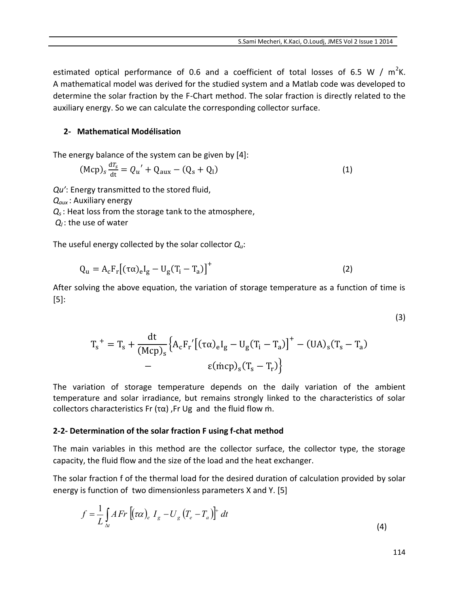estimated optical performance of 0.6 and a coefficient of total losses of 6.5 W /  $m^2K$ . A mathematical model was derived for the studied system and a Matlab code was developed to determine the solar fraction by the F-Chart method. The solar fraction is directly related to the auxiliary energy. So we can calculate the corresponding collector surface.

#### **2- Mathematical Modélisation**

The energy balance of the system can be given by [4]:

$$
(\text{Mcp})_s \frac{dT_s}{dt} = Q_u' + Q_{aux} - (Q_s + Q_l)
$$
 (1)

*Qu'*: Energy transmitted to the stored fluid,

*Qaux* : Auxiliary energy

*Q<sup>s</sup>* : Heat loss from the storage tank to the atmosphere,

*Q<sup>l</sup>* : the use of water

The useful energy collected by the solar collector *Qu*:

$$
Q_{u} = A_{c} F_{r} \left[ (\tau \alpha)_{e} I_{g} - U_{g} (T_{i} - T_{a}) \right]^{+}
$$
\n(2)

After solving the above equation, the variation of storage temperature as a function of time is [5]:

$$
T_s^+ = T_s + \frac{dt}{(Mcp)_s} \Big\{ A_c F_r' \big[ (\tau \alpha)_e I_g - U_g (T_i - T_a) \big]^+ - (UA)_s (T_s - T_a) - \epsilon (mcp)_s (T_s - T_r) \Big\}
$$

The variation of storage temperature depends on the daily variation of the ambient temperature and solar irradiance, but remains strongly linked to the characteristics of solar collectors characteristics Fr (τα) ,Fr Ug and the fluid flow ṁ.

#### **2-2- Determination of the solar fraction F using f-chat method**

The main variables in this method are the collector surface, the collector type, the storage capacity, the fluid flow and the size of the load and the heat exchanger.

The solar fraction f of the thermal load for the desired duration of calculation provided by solar energy is function of two dimensionless parameters X and Y. [5]

$$
f = \frac{1}{L} \int_{\Delta t} AFr \left[ (\tau \alpha)_e I_g - U_g \left( T_e - T_a \right) \right]^+ dt
$$
\n(4)

(3)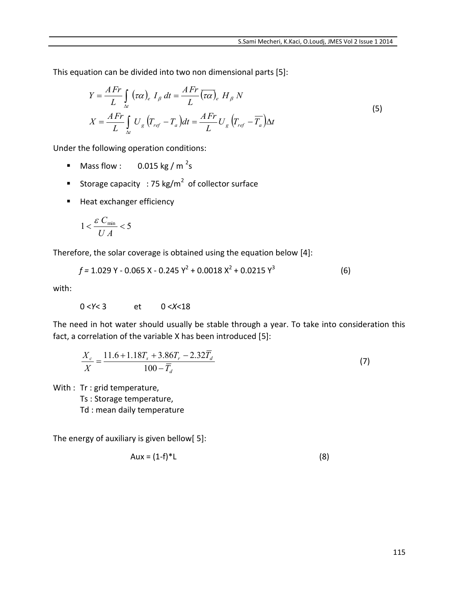This equation can be divided into two non dimensional parts [5]:

$$
Y = \frac{AFr}{L} \int_{\Delta t} (\tau \alpha)_e I_\beta dt = \frac{AFr}{L} (\overline{\tau \alpha})_e H_\beta N
$$
  
\n
$$
X = \frac{AFr}{L} \int_{\Delta t} U_g (T_{ref} - T_a) dt = \frac{AFr}{L} U_g (T_{ref} - \overline{T_a}) \Delta t
$$
\n(5)

Under the following operation conditions:

- **Mass flow :** 0.015 kg / m<sup>2</sup>s
- Storage capacity : 75 kg/m<sup>2</sup> of collector surface
- **Heat exchanger efficiency**

$$
1 < \frac{\varepsilon C_{\min}}{U A} < 5
$$

Therefore, the solar coverage is obtained using the equation below [4]:

$$
f = 1.029 \text{ Y} - 0.065 \text{ X} - 0.245 \text{ Y}^2 + 0.0018 \text{ X}^2 + 0.0215 \text{ Y}^3 \tag{6}
$$

with:

0 <*Y*< 3 et 0 <*X*<18

The need in hot water should usually be stable through a year. To take into consideration this fact, a correlation of the variable X has been introduced [5]:

$$
\frac{X_c}{X} = \frac{11.6 + 1.18T_s + 3.86T_r - 2.32\overline{T}_d}{100 - \overline{T}_d}
$$
\n(7)

With : Tr : grid temperature,

Ts : Storage temperature,

Td : mean daily temperature

The energy of auxiliary is given bellow[ 5]:

$$
Aux = (1-f)^*L
$$
 (8)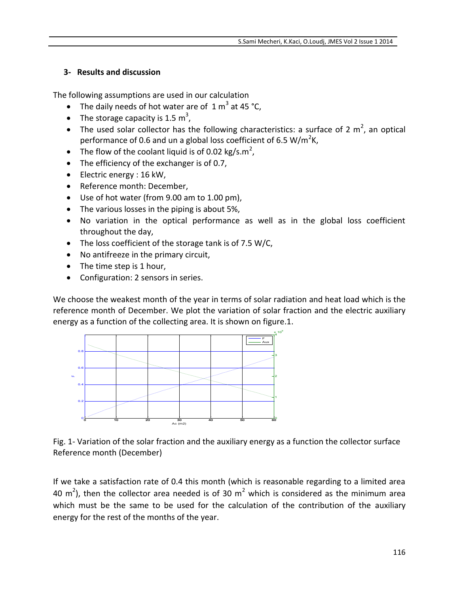## **3- Results and discussion**

The following assumptions are used in our calculation

- The daily needs of hot water are of  $1 \text{ m}^3$  at 45 °C,
- The storage capacity is 1.5  $m^3$ ,
- The used solar collector has the following characteristics: a surface of 2  $m^2$ , an optical performance of 0.6 and un a global loss coefficient of 6.5 W/m<sup>2</sup>K,
- The flow of the coolant liquid is of 0.02 kg/s.m<sup>2</sup>,
- The efficiency of the exchanger is of 0.7,
- Electric energy : 16 kW,
- Reference month: December,
- Use of hot water (from 9.00 am to 1.00 pm),
- The various losses in the piping is about 5%,
- No variation in the optical performance as well as in the global loss coefficient throughout the day,
- The loss coefficient of the storage tank is of 7.5 W/C,
- No antifreeze in the primary circuit,
- The time step is 1 hour,
- Configuration: 2 sensors in series.

We choose the weakest month of the year in terms of solar radiation and heat load which is the reference month of December. We plot the variation of solar fraction and the electric auxiliary energy as a function of the collecting area. It is shown on figure.1.



Fig. 1- Variation of the solar fraction and the auxiliary energy as a function the collector surface Reference month (December)

If we take a satisfaction rate of 0.4 this month (which is reasonable regarding to a limited area 40 m<sup>2</sup>), then the collector area needed is of 30 m<sup>2</sup> which is considered as the minimum area which must be the same to be used for the calculation of the contribution of the auxiliary energy for the rest of the months of the year.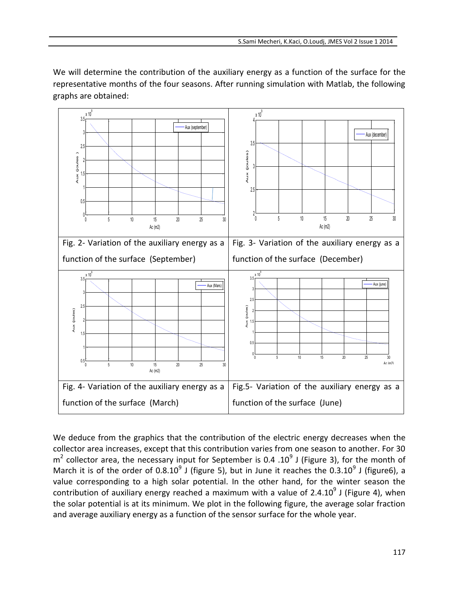We will determine the contribution of the auxiliary energy as a function of the surface for the representative months of the four seasons. After running simulation with Matlab, the following graphs are obtained:



We deduce from the graphics that the contribution of the electric energy decreases when the collector area increases, except that this contribution varies from one season to another. For 30  $m^2$  collector area, the necessary input for September is 0.4 .10<sup>9</sup> J (Figure 3), for the month of March it is of the order of 0.8.10<sup>9</sup> J (figure 5), but in June it reaches the 0.3.10<sup>9</sup> J (figure6), a value corresponding to a high solar potential. In the other hand, for the winter season the contribution of auxiliary energy reached a maximum with a value of 2.4.10<sup>9</sup> J (Figure 4), when the solar potential is at its minimum. We plot in the following figure, the average solar fraction and average auxiliary energy as a function of the sensor surface for the whole year.